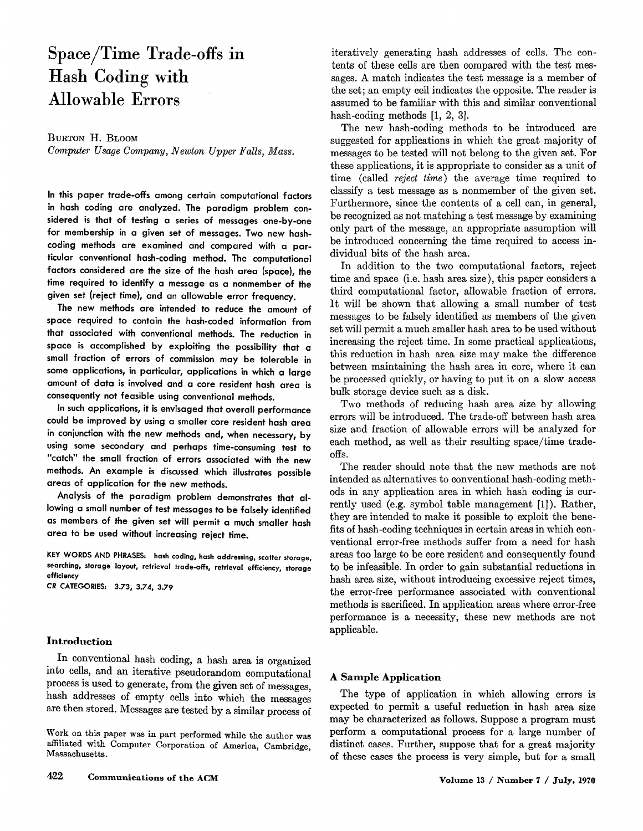# **Space/Time Trade-offs in Hash Coding with Allowable Errors**

# **BURTON H. BLOOM**

*Computer Usage Company, Newton Upper Falls, Mass.* 

**In this paper trade-offs among certain computational factors in hash coding are analyzed. The paradigm problem considered is that of testing a series of messages one-by-one for membership in a given set of messages. Two new hashcoding methods are examined and compared with a particular conventional hash-coding method. The computational factors considered are the size of the hash area (space), the time required to identify a message as a nonmember of the given set (reject time), and an allowable error frequency.** 

**The new methods are intended to reduce the amount of space required to contain the hash-coded information from that associated with conventional methods. The reduction in space is accomplished by exploiting the possibility that a small fraction of errors of commission may be tolerable in some applications, in particular, applications in which a large amount of data is involved and a core resident hash area is consequently not feasible using conventional methods.** 

**In such applications, it is envisaged that overall performance could be improved by using a smaller core resident hash area in conjunction with the new methods and, when necessary, by using some secondary and perhaps time-consuming test to "catch" the small fraction of errors associated with the new methods. An example is discussed which illustrates possible areas of application for the new methods.** 

**Analysis of the paradigm problem demonstrates that allowing a small number of test messages to be falsely identified as members of the given set will permit a much smaller hash area to be used without increasing reject time.** 

**KEY WORDS AND PHRASES: hash coding, hash addressing, scatter storage, searching, storage layout, retrieval trade-ofFs, retrieval efficiency, storage efficiency** 

*CR* **CATEGORIES: 3.73, 3.74, 3.79** 

## **Introduction**

In conventional hash coding, a hash area is organized into cells, and an iterative pseudorandom computational process is used to generate, from the given set of messages, hash addresses of empty cells into which the messages are then stored. Messages are tested by a similar process of

Work on this paper was in part performed while the author **was**  affiliated with Computer Corporation of America, Cambridge, Massachusetts.

iteratively generating hash addresses of cells. The contents of these cells are then compared with the test messages. A match indicates the test message is a member of the set; an empty cell indicates the opposite. The reader is assumed to be familiar with this and similar conventional hash-coding methods [1, 2, 3].

The new hash-coding methods to be introduced are suggested for applications in which the great majority of messages to be tested will not belong to the given set. For these applications, it is appropriate to consider as a unit of time (called *reject time)* the average time required to classify a test message as a nonmember of the given set. Furthermore, since the contents of a cell can, in general, be recognized as not matching a test message by examining only part of the message, an appropriate assumption will be introduced concerning the time required to access individual bits of the hash area.

In addition to the two computational factors, reject time and space (i.e. hash area size), this paper considers a third computational factor, allowable fraction of errors. It will be shown that allowing a small number of test messages to be falsely identified as members of the given set will permit a much smaller hash area to be used without increasing the reject time. In some practical applications, this reduction in hash area size may make the difference between maintaining the hash area in core, where it can be processed quickly, or having to put it on a slow access bulk storage device such as a disk.

Two methods of reducing hash area size by allowing errors will be introduced. The trade-off between hash area size and fraction of allowable errors will be analyzed for each method, as well as their resulting space/time tradeoffs.

The reader should note that the new methods are not intended as alternatives to conventional hash-coding methods in any application area in which hash coding is currently used (e.g. symbol table management [1]). Rather, they are intended to make it possible to exploit the benefits of hash-coding techniques in certain areas in which conventional error-free methods suffer from a need for hash areas too large to be core resident and consequently found to be infeasible. In order to gain substantial reductions in hash area size, without introducing excessive reject times, the error-free performance associated with conventional methods is sacrificed. In application areas where error-free performance is a necessity, these new methods are not applicable.

## **A Sample Application**

The type of application in which allowing errors is expected to permit a useful reduction in hash area size may be characterized as follows. Suppose a program must perform a computational process for a large number of distinct eases. Further, suppose that for a great majority of these cases the process is very simple, but for a small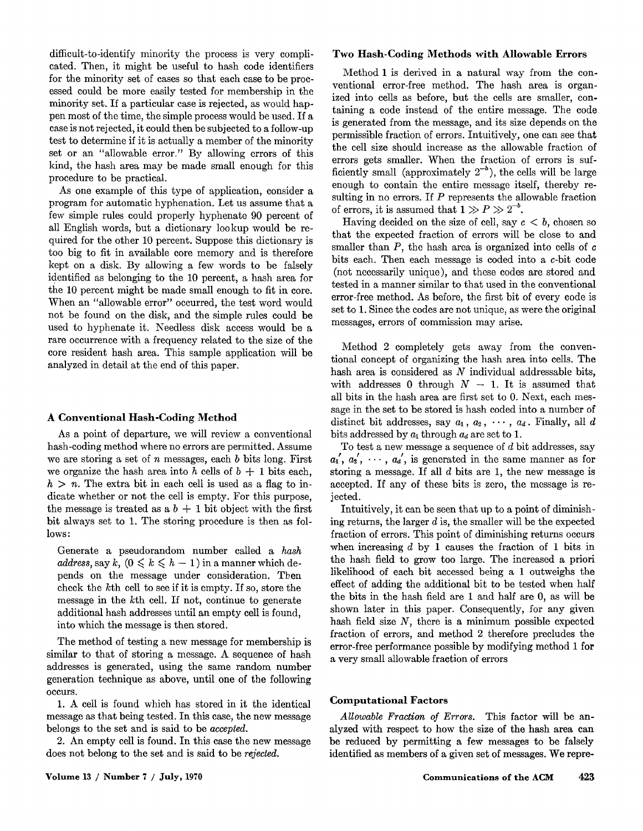difficult-to-identify minority the process is very complicated. Then, it might be useful to hash code identifiers for the minority set of cases so that each case to be processed could be more easily tested for membership in the minority set. If a particular case is rejected, as would happen most of the time, the simple process would be used. If a case is not rejected, it could then be subjected to a follow-up test to determine if it is actually a member of the minority set or an "allowable error." By allowing errors of this kind, the hash area may be made small enough for this procedure to be practical.

As one example of this type of application, consider a program for automatic hyphenation. Let us assume that a few simple rules could properly hyphenate 90 percent of all English words, but a dictionary lookup would be required for the other 10 percent. Suppose this dictionary is too big to fit in available core memory and is therefore kept on a disk. By allowing a few words to be falsely identified as belonging to the 10 percent, a hash area for the 10 percent might be made small enough to fit in core. When an "allowable error" occurred, the test word would not be found on the disk, and the simple rules could be used to hyphenate it. Needless disk access would be a rare occurrence with a frequency related to the size of the core resident hash area. This sample application will be analyzed in detail at the end of this paper.

## **A Conventional Hash-Coding Method**

As a point of departure, we will review a conventional hash-coding method where no errors are permitted. Assume we are storing a set of n messages, each  $b$  bits long. First we organize the hash area into h cells of  $b + 1$  bits each,  $h > n$ . The extra bit in each cell is used as a flag to indicate whether or not the cell is empty. For this purpose, the message is treated as a  $b + 1$  bit object with the first bit always set to 1. The storing procedure is then as follows:

Generate a pseudorandom number called a *hash address, say k,*  $(0 \leq k \leq h - 1)$  in a manner which depends on the message under consideration. Tben check the kth cell to see if it is empty. If so, store the message in the kth cell. If not, continue to generate additional hash addresses until an empty cell is found, into which the message is then stored.

The method of testing a new message for membership is similar to that of storing a message. A sequence of hash addresses is generated, using the same random number generation technique as above, until one of the following occurs.

1. A cell is found which has stored in it the identical message as that being tested. In this case, the new message belongs to the set and is said to be *accepted.* 

2. An empty cell is found. In this case the new message does not belong to the set and is said to be *rejected.* 

## **Two Hash-Coding Methods with Allowable Errors**

Method 1 is derived in a natural way from the conventional error-free method. The hash area is organized into cells as before, but the cells are smaller, containing a code instead of the entire message. The code is generated from the message, and its size depends on the permissible fraction of errors. Intuitively, one can see that the cell size should increase as the allowable fraction of errors gets smaller. When the fraction of errors is sufficiently small (approximately  $2^{-b}$ ), the cells will be large enough to contain the entire message itself, thereby resulting in no errors. If  $P$  represents the allowable fraction of errors, it is assumed that  $1 \gg P \gg 2^{-b}$ .

Having decided on the size of cell, say  $c < b$ , chosen so that the expected fraction of errors will be close to and smaller than  $P$ , the hash area is organized into cells of  $c$ bits each. Then each message is coded into a c-bit code (not necessarily unique), and these codes are stored and tested in a manner similar to that used in the conventional error-free method. As before, the first bit of every code is set to 1. Since the codes are not unique, as were the original messages, errors of commission may arise.

Method 2 completely gets away from the conventional concept of organizing the hash area into cells. The hash area is considered as  $N$  individual addressable bits, with addresses 0 through  $N - 1$ . It is assumed that all bits in the hash area are first set to 0. Next, each message in the set to be stored is hash coded into a number of distinct bit addresses, say  $a_1, a_2, \cdots, a_d$ . Finally, all d bits addressed by  $a_1$  through  $a_d$  are set to 1.

To test a new message a sequence of  $d$  bit addresses, say  $a_1, a_2, \dots, a_d$ , is generated in the same manner as for storing a message. If **all** d bits are 1, the new message is accepted. If any of these bits is zero, the message is rejected.

Intuitively, it can be seen that up to a point of diminishing returns, the larger  $d$  is, the smaller will be the expected fraction of errors. This point of diminishing returns occurs when increasing  $d$  by 1 causes the fraction of 1 bits in the hash field to grow too large. The increased a priori likelihood of each bit accessed being a 1 outweighs the effect of adding the additional bit to be tested when half the bits in the hash field are 1 and half are 0, as will be shown later in this paper. Consequently, for any given hash field size  $N$ , there is a minimum possible expected fraction of errors, and method 2 therefore precludes the error-free performance possible by modifying method 1 **for**  a very small allowable fraction of errors

## **Computational Factors**

*Allowable Fraction of Errors.* This factor will be analyzed with respect to how the size of the hash area **can**  be reduced by permitting a few messages to be falsely identified as members of a given set of messages. We **repre-**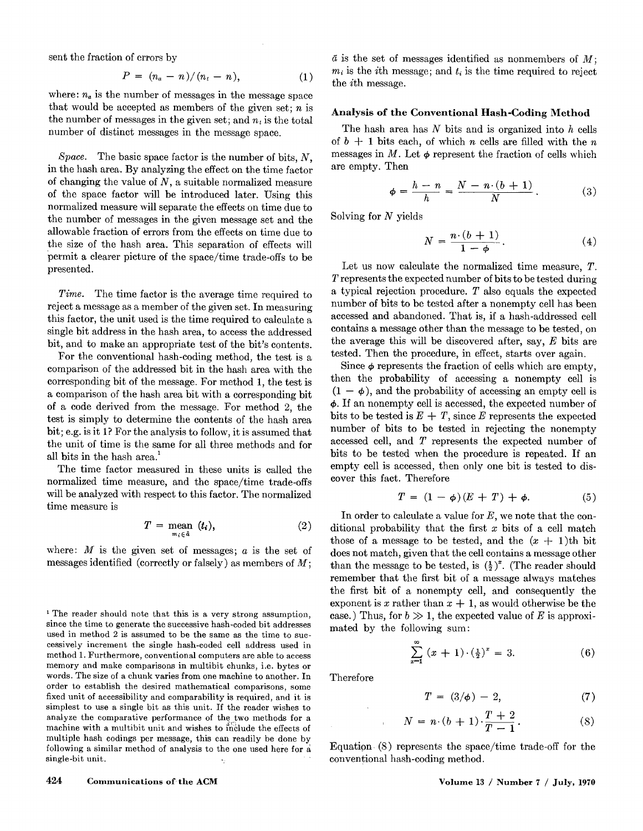sent the fraction of errors by

$$
P = (n_a - n)/(n_t - n), \tag{1}
$$

where:  $n_a$  is the number of messages in the message space that would be accepted as members of the given set;  $n$  is the number of messages in the given set; and  $n_t$  is the total number of distinct messages in the message space.

*Space.* The basic space factor is the number of bits, N, in the hash area. By analyzing the effect on the time factor of changing the value of  $N$ , a suitable normalized measure of the space factor will be introduced later. Using this normalized measure will separate the effects on time due to the number of messages in the given message set and the allowable fraction of errors from the effects on time due to the size of the hash area. This separation of effects will permit a clearer picture of the space/time trade-offs to be presented.

*Time.* The time factor is the average time required to reject a message as a member of the given set. In measuring this factor, the unit used is the time required to calculate a single bit address in the hash area, to access the addressed bit, and to make an appropriate test of the bit's contents.

For the conventional hash-coding method, the test is a comparison of the addressed bit in the hash area with the corresponding bit of the message. For method 1, the test is a comparison of the hash area bit with a corresponding bit of a code derived from the message. For method 2, the test is simply to determine the contents of the hash area bit; e.g. is it 1? For the analysis to follow, it is assumed that the unit of time is the same for all three methods and for 1 all bits in the hash area.<sup>1</sup>

The time factor measured in these units is called the normalized time measure, and the space/time trade-offs will be analyzed with respect to this factor. The normalized time measure is

$$
T = \underset{m_i \in \hat{a}}{\text{mean}} (t_i), \tag{2}
$$

where:  $M$  is the given set of messages;  $a$  is the set of messages identified (correctly or falsely) as members of  $M$ ;

<sup>1</sup> The reader should note that this is a very strong assumption, since the time to generate the successive hash-coded bit addresses used in method 2 is assumed to be the same as the time to successively increment the single hash-coded cell address used in method 1. Furthermore, conventional computers are able to access memory and make comparisons in multibit chunks, i.e. bytes or words. The size of a chunk varies from one machine to another. In order to establish the desired mathematical comparisons, some fixed unit of accessibility and comparability is required, and it is simplest to use a single bit as this unit. If the reader wishes to analyze the comparative performance of the two methods for a machine with a multibit unit and wishes to include the effects of multiple hash codings per message, this can readily be done by following a similar method of analysis to the one used here for a single-bit unit.

 $\bar{a}$  is the set of messages identified as nonmembers of  $M$ ;  $m_i$  is the *i*th message; and  $t_i$  is the time required to reject the ith message.

#### **Analysis of the Conventional Hash-Coding Method**

The hash area has  $N$  bits and is organized into  $h$  cells of  $b + 1$  bits each, of which n cells are filled with the n messages in M. Let  $\phi$  represent the fraction of cells which are empty. Then

$$
\phi = \frac{h-n}{h} = \frac{N-n \cdot (b+1)}{N} \,. \tag{3}
$$

Solving for  $N$  yields

$$
N = \frac{n \cdot (b+1)}{1-\phi}.
$$
 (4)

Let us now calculate the normalized time measure, T. T represents the expected number of bits to be tested during a typical rejection procedure. T also equals the expected number of bits to be tested after a nonempty cell has been accessed and abandoned. That is, if a hash-addressed cell contains a message other than the message to be tested, on the average this will be discovered after, say,  $E$  bits are tested. Then the procedure, in effect, starts over again.

Since  $\phi$  represents the fraction of cells which are empty, then the probability of accessing a nonempty cell is  $(1 - \phi)$ , and the probability of accessing an empty cell is  $\phi$ . If an nonempty cell is accessed, the expected number of bits to be tested is  $E + T$ , since E represents the expected number of bits to be tested in rejecting the nonempty accessed cell, and T represents the expected number of bits to be tested when the procedure is repeated. If an empty cell is accessed, then only one bit is tested to discover this fact. Therefore

$$
T = (1 - \phi)(E + T) + \phi. \tag{5}
$$

In order to calculate a value for  $E$ , we note that the conditional probability that the first  $x$  bits of a cell match those of a message to be tested, and the  $(x + 1)$ th bit does not match, given that the cell contains a message other than the message to be tested, is  $(\frac{1}{2})^x$ . (The reader should remember that the first bit of a message always matches the first bit of a nonempty cell, and consequently the exponent is x rather than  $x + 1$ , as would otherwise be the case.) Thus, for  $b \gg 1$ , the expected value of E is approximated by the following sum:

$$
\sum_{x=1}^{\infty} (x+1) \cdot (\frac{1}{2})^x = 3. \tag{6}
$$

Therefore

$$
T = (3/\phi) - 2, \tag{7}
$$

$$
N = n \cdot (b+1) \cdot \frac{T+2}{T-1}.
$$
 (8)

Equation (8) represents the space/time trade-off for the conventional hash-coding method.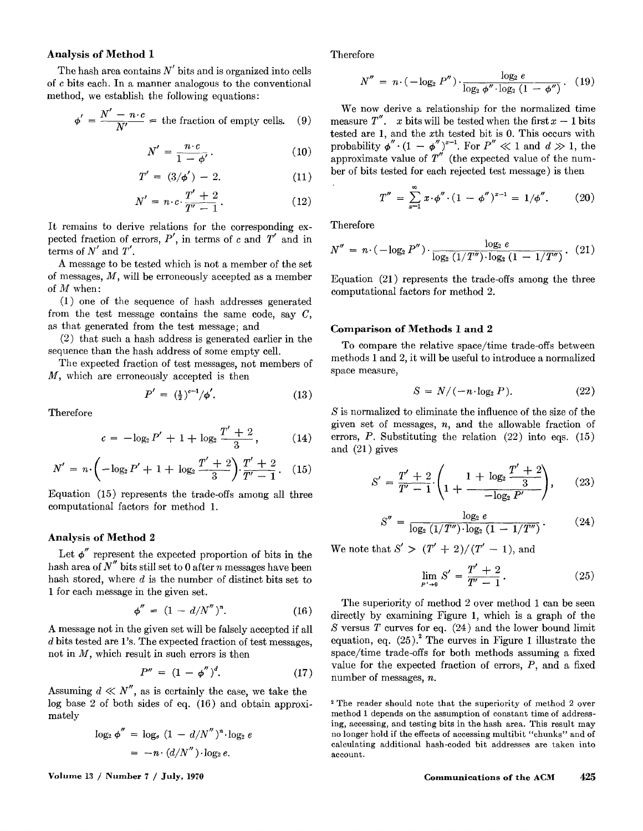## **Analysis of Method 1**

The hash area contains  $N'$  bits and is organized into cells of c bits each. In a manner analogous to the conventional method, we establish the following equations:

$$
\phi' = \frac{N' - n \cdot c}{N'} =
$$
 the fraction of empty cells. (9)

$$
N' = \frac{n \cdot c}{1 - \phi'}.
$$
 (10)

$$
T' = (3/\phi') - 2.
$$
 (11)

$$
N' = n \cdot c \cdot \frac{T' + 2}{T' - 1} \,. \tag{12}
$$

It remains to derive relations for the corresponding expected fraction of errors,  $P'$ , in terms of c and  $T'$  and in terms of N' and *T'.* 

A message to be tested which is not a member of the set of messages,  $M$ , will be erroneously accepted as a member of M when:

(1) one of the sequence of hash addresses generated from the test message contains the same code, say  $C$ , as that generated from the test message; and

(2) that such a hash address is generated earlier in the sequence than the hash address of some empty cell.

The expected fraction of test messages, not members of M, which are erroneously accepted is then

$$
P' = \left(\frac{1}{2}\right)^{c-1} / \phi'. \tag{13}
$$

Therefore

$$
c = -\log_2 P' + 1 + \log_2 \frac{T' + 2}{3}, \quad (14)
$$

$$
N' = n \cdot \left(-\log_2 P' + 1 + \log_2 \frac{T' + 2}{3}\right) \cdot \frac{T' + 2}{T' - 1}.
$$
 (15)

Equation (15) represents the trade-offs among all three computational factors for method 1.

## **Analysis of Method 2**

Let  $\phi''$  represent the expected proportion of bits in the hash area of  $N''$  bits still set to 0 after *n* messages have been hash stored, where  $d$  is the number of distinct bits set to 1 for each message in the given set.

$$
\phi'' = (1 - d/N'')^n. \tag{16}
$$

A message not in the given set will be falsely accepted if all d bits tested are 1's. The expected fraction of test messages, not in  $M$ , which result in such errors is then

$$
P'' = (1 - \phi'')^{d}.
$$
 (17)

Assuming  $d \ll N''$ , as is certainly the case, we take the log base 2 of both sides of eq. (16) and obtain approximately

$$
\log_2 \phi'' = \log_e (1 - d/N'')^n \cdot \log_2 e
$$

$$
= -n \cdot (d/N'') \cdot \log_2 e.
$$

Therefore

$$
N'' = n \cdot (-\log_2 P'') \cdot \frac{\log_2 e}{\log_2 \phi'' \cdot \log_2 (1 - \phi'')}.
$$
 (19)

We now derive a relationship for the normalized time measure T''. x bits will be tested when the first  $x - 1$  bits tested are 1, and the xth tested bit is 0. This occurs with probability  $\phi'' \cdot (1 - \phi'')^{x-1}$ . For  $P'' \ll 1$  and  $d \gg 1$ , the approximate value of  $T''$  (the expected value of the number of bits tested for each rejected test message) is then

$$
T'' = \sum_{x=1}^{\infty} x \cdot \phi'' \cdot (1 - \phi'')^{x-1} = 1/\phi''.
$$
 (20)

Therefore

$$
N'' = n \cdot (-\log_2 P'') \cdot \frac{\log_2 e}{\log_2 (1/T'') \cdot \log_2 (1 - 1/T'')}.
$$
 (21)

Equation (21) represents the trade-offs among the three computational factors for method 2.

#### **Comparison of Methods 1 and** 2

To compare the relative space/time trade-offs between methods 1 and 2, it will be useful to introduce a normalized space measure,

$$
S = N/(-n \cdot \log_2 P). \tag{22}
$$

S is normalized to eliminate the influence of the size of the given set of messages,  $n$ , and the allowable fraction of errors,  $P$ . Substituting the relation  $(22)$  into eqs.  $(15)$ and (21) gives

$$
S' = \frac{T' + 2}{T' - 1} \left( 1 + \frac{1 + \log_2 \frac{T' + 2}{3}}{-\log_2 P'} \right), \qquad (23)
$$

$$
S'' = \frac{\log_2 e}{\log_2 (1/T'') \cdot \log_2 (1 - 1/T'')}.
$$
 (24)

We note that  $S' > (T' + 2)/(T' - 1)$ , and

$$
\lim_{p' \to 0} S' = \frac{T' + 2}{T' - 1}.
$$
\n(25)

The superiority of method 2 over method 1 can be seen directly by examining Figure 1, which is a graph of the S versus  $T$  curves for eq.  $(24)$  and the lower bound limit equation, eq.  $(25)^2$ . The curves in Figure 1 illustrate the space/time trade-offs for both methods assuming a fixed value for the expected fraction of errors,  $P$ , and a fixed number of messages, n.

The reader should note that the superiority of method 2 over method 1 depends on the assumption of constant time of addressing, accessing, and testing bits in the hash area. This result **may**  no longer hold **if the effects** of accessing multibit "chunks" and **of**  calculating additional hash-coded bit addresses are taken into account.

**Volume 13 / Number 7 / July, 1970 Communications of the ACM 425**